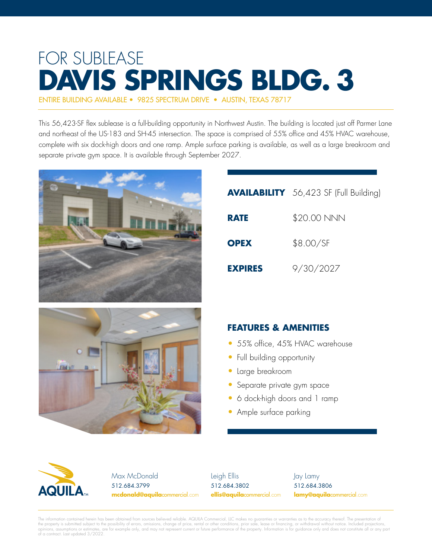# FOR SUBLEASE **DAVIS SPRINGS BLDG. 3**

ENTIRE BUILDING AVAILABLE • 9825 SPECTRUM DRIVE • AUSTIN, TEXAS 78717

This 56,423-SF flex sublease is a full-building opportunity in Northwest Austin. The building is located just off Parmer Lane and northeast of the US-183 and SH-45 intersection. The space is comprised of 55% office and 45% HVAC warehouse, complete with six dock-high doors and one ramp. Ample surface parking is available, as well as a large breakroom and separate private gym space. It is available through September 2027.



|                | <b>AVAILABILITY</b> 56,423 SF (Full Building) |
|----------------|-----------------------------------------------|
| <b>RATE</b>    | \$20.00 NNN                                   |
| <b>OPEX</b>    | \$8.00/SF                                     |
| <b>EXPIRES</b> | 9/30/2027                                     |



|  | <b>FEATURES &amp; AMENITIES</b> |
|--|---------------------------------|
|--|---------------------------------|

- 55% office, 45% HVAC warehouse
- Full building opportunity
- Large breakroom
- Separate private gym space
- 6 dock-high doors and 1 ramp
- Ample surface parking



Max McDonald 512.684.3799 **mcdonald@aquila**commercial.com

Leigh Ellis 512.684.3802 **ellis@aquila**commercial.com Jay Lamy 512.684.3806 **lamy@aquila**commercial.com

The information contained herein has been obtained from sources believed reliable. AQUILA Commercial, LLC makes no guaranties or warranties as to the accuracy thereof. The presentation of the property is submitted subject to the possibility of errors, omissions, change of price, rental or other conditions, prior sale, lease or financing, or withdrawal without notice. Included projections,<br>opinions, assumpti of a contract. Last updated 3/2022.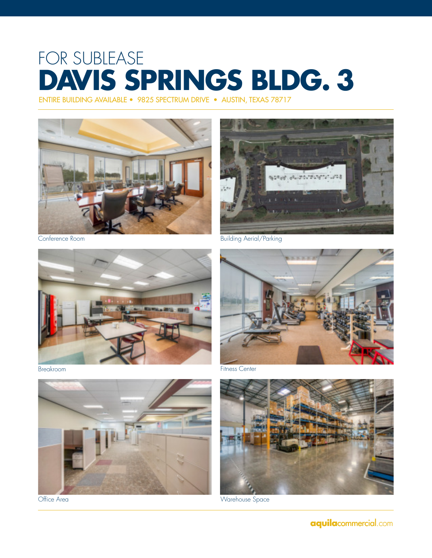## FOR SUBLEASE **DAVIS SPRINGS BLDG. 3**

ENTIRE BUILDING AVAILABLE • 9825 SPECTRUM DRIVE • AUSTIN, TEXAS 78717



Conference Room



Breakroom



Office Area



Building Aerial/Parking



Fitness Center



Warehouse Space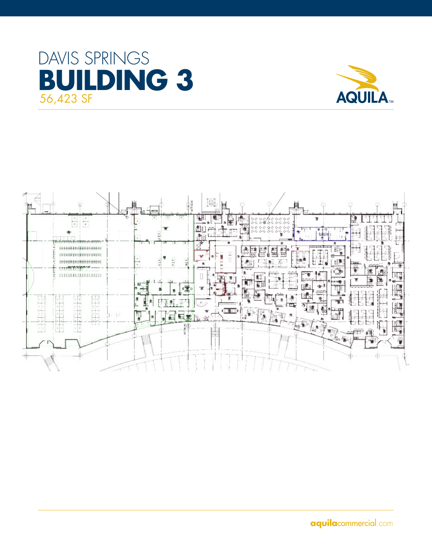### DAVIS SPRINGS **BUILDING 3** 56,423 SF